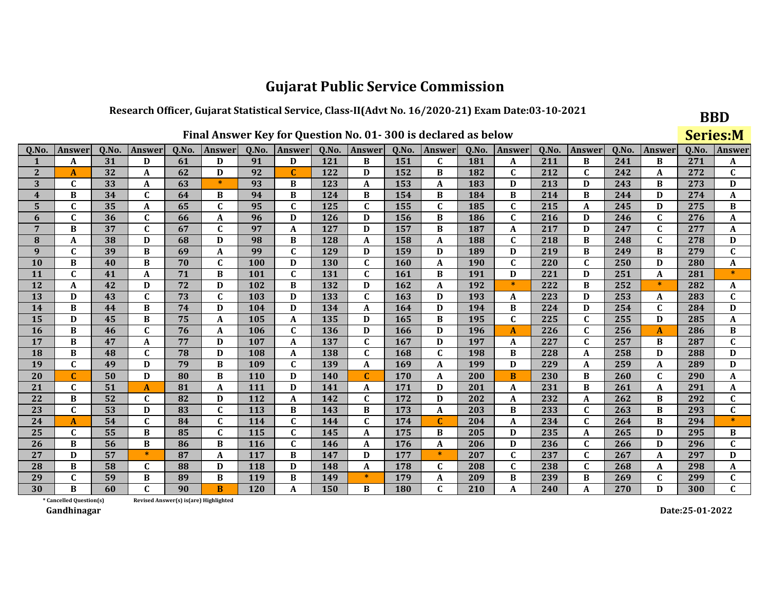#### Research Officer, Gujarat Statistical Service, Class-II(Advt No. 16/2020-21) Exam Date:03-10-2021

|              |                                                                                                                                                                                                |    |              |                                        |              |            |              |     | Final Answer Key for Question No. 01-300 is declared as below |     |              |     |              |     |                         |               |             | <b>Series:M</b> |              |
|--------------|------------------------------------------------------------------------------------------------------------------------------------------------------------------------------------------------|----|--------------|----------------------------------------|--------------|------------|--------------|-----|---------------------------------------------------------------|-----|--------------|-----|--------------|-----|-------------------------|---------------|-------------|-----------------|--------------|
| Q.No.        | Q.No.<br>Q.No.<br>Q.No.<br>Q.No.<br>Q.No.<br>Q.No.<br>Q.No.<br>Q.No.<br>Answer<br><b>Answer</b><br><b>Answer</b><br><b>Answer</b><br><b>Answer</b><br><b>Answer</b><br>Answer<br><b>Answer</b> |    |              |                                        |              |            |              |     |                                                               |     |              |     |              |     |                         | <b>Answer</b> | Q.No.       | Answer          |              |
|              | A                                                                                                                                                                                              | 31 | D            | 61                                     | D            | 91         | D            | 121 | B                                                             | 151 | $\mathbf{C}$ | 181 | A            | 211 | B                       | 241           | B           | 271             | A            |
| $\mathbf{2}$ | $\mathbf{A}$                                                                                                                                                                                   | 32 | A            | 62                                     | D            | 92         | $\mathbf C$  | 122 | D                                                             | 152 | B            | 182 | $\mathbf C$  | 212 | $\mathbf{C}$            | 242           | $\mathbf A$ | 272             | $\mathbf{C}$ |
| 3            | $\mathbf{C}$                                                                                                                                                                                   | 33 | A            | 63                                     | $\ast$       | 93         | B            | 123 | A                                                             | 153 | A            | 183 | D            | 213 | D                       | 243           | B           | 273             | D            |
| 4            | B                                                                                                                                                                                              | 34 | $\mathbf C$  | 64                                     | B            | 94         | B            | 124 | B                                                             | 154 | B            | 184 | B            | 214 | B                       | 244           | D           | 274             | A            |
| 5            | $\mathbf{C}$                                                                                                                                                                                   | 35 | A            | 65                                     | $\mathbf C$  | 95         | $\mathbf C$  | 125 | $\mathbf{C}$                                                  | 155 | $\mathbf C$  | 185 | $\mathbf C$  | 215 | A                       | 245           | D           | 275             | B            |
| 6            | $\mathbf C$                                                                                                                                                                                    | 36 | $\mathbf C$  | 66                                     | $\mathbf A$  | 96         | D            | 126 | D                                                             | 156 | B            | 186 | $\mathbf C$  | 216 | D                       | 246           | $\mathbf C$ | 276             | A            |
| 7            | B                                                                                                                                                                                              | 37 | $\mathbf C$  | 67                                     | $\mathbf C$  | 97         | A            | 127 | D                                                             | 157 | B            | 187 | A            | 217 | D                       | 247           | $\mathbf C$ | 277             | A            |
| 8            | $\mathbf A$                                                                                                                                                                                    | 38 | D            | 68                                     | D            | 98         | B            | 128 | A                                                             | 158 | A            | 188 | $\mathbf C$  | 218 | B                       | 248           | $\mathbf C$ | 278             | D            |
| 9            | $\mathbf{C}$                                                                                                                                                                                   | 39 | B            | 69                                     | A            | 99         | $\mathbf{C}$ | 129 | D                                                             | 159 | D            | 189 | D            | 219 | B                       | 249           | B           | 279             | $\mathbf{C}$ |
| <b>10</b>    | B                                                                                                                                                                                              | 40 | B            | 70                                     | $\mathbf C$  | 100        | D            | 130 | $\mathbf{C}$                                                  | 160 | A            | 190 | $\mathbf C$  | 220 | $\overline{\mathsf{c}}$ | 250           | D           | 280             | A            |
| 11           | $\mathbf{C}$                                                                                                                                                                                   | 41 | A            | 71                                     | $\bf{B}$     | 101        | $\mathbf{C}$ | 131 | $\mathbf{C}$                                                  | 161 | B            | 191 | D            | 221 | D                       | 251           | A           | 281             | $\ast$       |
| 12           | A                                                                                                                                                                                              | 42 | D            | 72                                     | D            | 102        | B            | 132 | D                                                             | 162 | A            | 192 | $\ast$       | 222 | B                       | 252           | $\ast$      | 282             | A            |
| 13           | D                                                                                                                                                                                              | 43 | $\mathbf C$  | 73                                     | $\mathbf{C}$ | 103        | D            | 133 | $\mathbf{C}$                                                  | 163 | D            | 193 | $\mathbf{A}$ | 223 | D                       | 253           | A           | 283             | $\mathbf{C}$ |
| 14           | B                                                                                                                                                                                              | 44 | B            | 74                                     | D            | 104        | D            | 134 | A                                                             | 164 | D            | 194 | B            | 224 | D                       | 254           | $\mathbf C$ | 284             | D            |
| 15           | D                                                                                                                                                                                              | 45 | B            | 75                                     | A            | 105        | A            | 135 | D                                                             | 165 | B            | 195 | $\mathbf C$  | 225 | $\mathbf C$             | 255           | D           | 285             | A            |
| <b>16</b>    | B                                                                                                                                                                                              | 46 | $\mathbf{C}$ | 76                                     | A            | 106        | $\mathbf C$  | 136 | D                                                             | 166 | D            | 196 | $\mathbf{A}$ | 226 | C                       | 256           | A           | 286             | B            |
| 17           | B                                                                                                                                                                                              | 47 | A            | 77                                     | D            | 107        | A            | 137 | C                                                             | 167 | D            | 197 | A            | 227 | C                       | 257           | B           | 287             | $\mathbf C$  |
| <b>18</b>    | B                                                                                                                                                                                              | 48 | $\mathbf C$  | 78                                     | D            | 108        | A            | 138 | $\mathbf{C}$                                                  | 168 | $\mathbf{C}$ | 198 | B            | 228 | A                       | 258           | D           | 288             | D            |
| 19           | $\mathbf C$                                                                                                                                                                                    | 49 | D            | 79                                     | $\bf{B}$     | 109        | $\mathbf C$  | 139 | A                                                             | 169 | A            | 199 | D            | 229 | A                       | 259           | A           | 289             | D            |
| 20           | C                                                                                                                                                                                              | 50 | D            | 80                                     | B            | <b>110</b> | D            | 140 | C                                                             | 170 | A            | 200 | B            | 230 | B                       | 260           | $\mathbf C$ | 290             | A            |
| 21           | $\mathbf C$                                                                                                                                                                                    | 51 | $\mathbf{A}$ | 81                                     | $\mathbf{A}$ | 111        | D            | 141 | A                                                             | 171 | D            | 201 | $\mathbf{A}$ | 231 | B                       | 261           | A           | 291             | A            |
| 22           | B                                                                                                                                                                                              | 52 | $\mathbf C$  | 82                                     | D            | 112        | A            | 142 | $\mathbf C$                                                   | 172 | D            | 202 | A            | 232 | A                       | 262           | B           | 292             | $\mathbf C$  |
| 23           | $\mathbf C$                                                                                                                                                                                    | 53 | D            | 83                                     | $\mathbf C$  | <b>113</b> | B            | 143 | B                                                             | 173 | A            | 203 | B            | 233 | $\mathbf C$             | 263           | B           | 293             | $\mathbf{C}$ |
| 24           | A                                                                                                                                                                                              | 54 | C            | 84                                     | $\mathbf C$  | 114        | $\mathbf{C}$ | 144 | $\mathbf{C}$                                                  | 174 |              | 204 | A            | 234 | $\mathbf C$             | 264           | B           | 294             |              |
| 25           | $\mathbf C$                                                                                                                                                                                    | 55 | B            | 85                                     | $\mathbf C$  | 115        | $\mathbf{C}$ | 145 | A                                                             | 175 | B            | 205 | D            | 235 | A                       | 265           | D           | 295             | B            |
| 26           | B                                                                                                                                                                                              | 56 | B            | 86                                     | B            | <b>116</b> | $\mathbf{C}$ | 146 | A                                                             | 176 | A            | 206 | D            | 236 | $\mathbf C$             | 266           | D           | 296             | $\mathbf C$  |
| 27           | D                                                                                                                                                                                              | 57 | $\ast$       | 87                                     | $\mathbf A$  | 117        | B            | 147 | D                                                             | 177 | $\ast$       | 207 | $\mathbf C$  | 237 | $\mathbf{C}$            | 267           | A           | 297             | D            |
| 28           | B                                                                                                                                                                                              | 58 | C            | 88                                     | D            | 118        | D            | 148 | A                                                             | 178 | C            | 208 | $\mathbf C$  | 238 | C                       | 268           | A           | 298             | A            |
| 29           | $\mathbf C$                                                                                                                                                                                    | 59 | B            | 89                                     | B            | 119        | B            | 149 | $\ast$                                                        | 179 | A            | 209 | B            | 239 | B                       | 269           | $\mathbf C$ | 299             | $\mathbf C$  |
| 30           | B                                                                                                                                                                                              | 60 | C            | 90                                     | B            | <b>120</b> | A            | 150 | B                                                             | 180 | $\mathbf C$  | 210 | $\mathbf{A}$ | 240 | A                       | 270           | D           | 300             | $\mathbf{C}$ |
|              | * Cancelled Question(s)                                                                                                                                                                        |    |              | Revised Answer(s) is (are) Highlighted |              |            |              |     |                                                               |     |              |     |              |     |                         |               |             |                 |              |

Gandhinagar

Г

Date:25-01-2022

**BBD**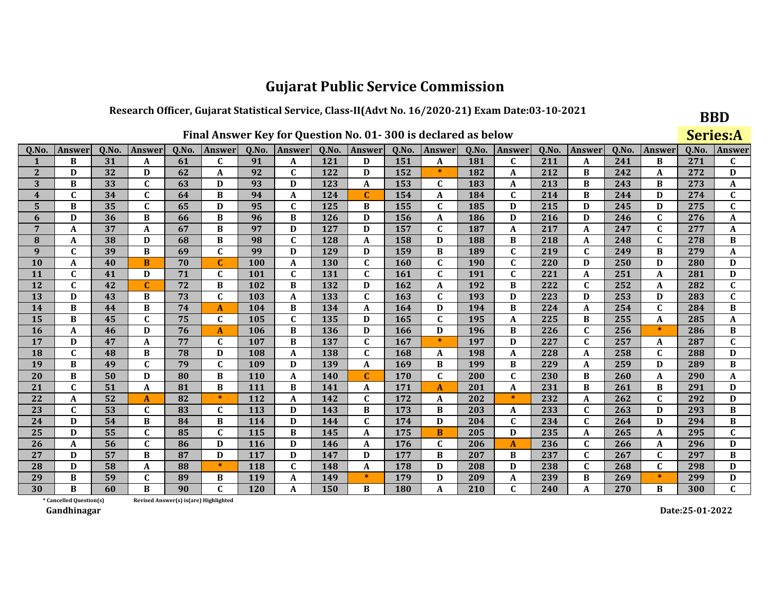#### Research Officer, Gujarat Statistical Service, Class-II(Advt No. 16/2020-21) Exam Date:03-10-2021

|                         |                                                                                                                                                                    |    |              |                                        |              |            | Final Answer Key for Question No. 01-300 is declared as below |     |              |            |              |     |                  |     |              |        |              |        | <b>Series:A</b> |
|-------------------------|--------------------------------------------------------------------------------------------------------------------------------------------------------------------|----|--------------|----------------------------------------|--------------|------------|---------------------------------------------------------------|-----|--------------|------------|--------------|-----|------------------|-----|--------------|--------|--------------|--------|-----------------|
| Q.No.                   | Q.No.<br>Q.No.<br>Answer<br>Q.No.<br>Q.No.<br>Answer<br>Q.No.<br>Answer<br>Q.No.<br>Q.No.<br>Answer<br>Q.No.<br><b>Answer</b><br>Answer<br><b>Answer</b><br>Answer |    |              |                                        |              |            |                                                               |     |              |            |              |     |                  |     |              | Answer | 0.No.        | Answer |                 |
|                         | B                                                                                                                                                                  | 31 | A            | 61                                     | $\mathbf{C}$ | 91         | A                                                             | 121 | D            | 151        | A            | 181 | $\mathbf{C}$     | 211 | A            | 241    | B            | 271    | C               |
| $\overline{2}$          | D                                                                                                                                                                  | 32 | D            | 62                                     | A            | 92         | $\mathbf C$                                                   | 122 | D            | 152        | $\ast$       | 182 | A                | 212 | B            | 242    | A            | 272    | D               |
| 3                       | B                                                                                                                                                                  | 33 | $\mathbf{C}$ | 63                                     | D            | 93         | D                                                             | 123 | A            | 153        | $\mathbf C$  | 183 | A                | 213 | B            | 243    | B            | 273    | A               |
| $\overline{\mathbf{4}}$ | $\mathbf C$                                                                                                                                                        | 34 | $\mathbf{C}$ | 64                                     | B            | 94         | A                                                             | 124 | C            | 154        | A            | 184 | $\mathbf{C}$     | 214 | B            | 244    | D            | 274    | $\mathbf{C}$    |
| 5                       | B                                                                                                                                                                  | 35 | $\mathbf{C}$ | 65                                     | D            | 95         | $\mathbf C$                                                   | 125 | B            | 155        | $\mathbf{C}$ | 185 | D                | 215 | D            | 245    | D            | 275    | $\mathbf{C}$    |
| 6                       | D                                                                                                                                                                  | 36 | B            | 66                                     | B            | 96         | B                                                             | 126 | D            | 156        | A            | 186 | D                | 216 | D            | 246    | $\mathbf{C}$ | 276    | A               |
| $\overline{7}$          | A                                                                                                                                                                  | 37 | A            | 67                                     | B            | 97         | D                                                             | 127 | D            | 157        | $\mathbf C$  | 187 | A                | 217 | A            | 247    | $\mathbf C$  | 277    | A               |
| 8                       | A                                                                                                                                                                  | 38 | D            | 68                                     | B            | 98         | $\mathbf C$                                                   | 128 | A            | 158        | D            | 188 | B                | 218 | A            | 248    | $\mathbf{C}$ | 278    | B               |
| 9                       | $\mathbf{C}$                                                                                                                                                       | 39 | B            | 69                                     | $\mathbf{C}$ | 99         | D                                                             | 129 | D            | 159        | B            | 189 | $\mathbf{C}$     | 219 | $\mathbf{C}$ | 249    | B            | 279    | $\mathbf{A}$    |
| 10                      | A                                                                                                                                                                  | 40 | B            | 70                                     | $\mathbf C$  | 100        | $\mathbf A$                                                   | 130 | $\mathbf C$  | 160        | $\mathbf{C}$ | 190 | $\mathbf C$      | 220 | D            | 250    | D            | 280    | D               |
| 11                      | $\mathbf C$                                                                                                                                                        | 41 | D            | 71                                     | $\mathbf C$  | 101        | $\mathbf C$                                                   | 131 | $\mathbf{C}$ | 161        | $\mathbf C$  | 191 | $\mathbf{C}$     | 221 | A            | 251    | A            | 281    | D               |
| 12                      | $\mathbf C$                                                                                                                                                        | 42 | $\mathbf C$  | 72                                     | B            | 102        | B                                                             | 132 | D            | 162        | A            | 192 | B                | 222 | $\mathbf{C}$ | 252    | A            | 282    | $\mathbf C$     |
| 13                      | D                                                                                                                                                                  | 43 | B            | 73                                     | C            | 103        | $\mathbf{A}$                                                  | 133 | $\mathbf C$  | 163        | $\mathbf C$  | 193 | D                | 223 | D            | 253    | D            | 283    | $\mathbf{C}$    |
| 14                      | B                                                                                                                                                                  | 44 | B            | 74                                     | $\mathbf{A}$ | 104        | B                                                             | 134 | A            | 164        | D            | 194 | B                | 224 | A            | 254    | $\mathbf{C}$ | 284    | B               |
| 15                      | B                                                                                                                                                                  | 45 | $\mathbf{C}$ | 75                                     | $\mathbf{C}$ | 105        | $\mathbf{C}$                                                  | 135 | D            | 165        | $\mathbf C$  | 195 | A                | 225 | B            | 255    | A            | 285    | A               |
| 16                      | A                                                                                                                                                                  | 46 | D            | 76                                     | $\mathbf{A}$ | 106        | B                                                             | 136 | D            | 166        | D            | 196 | B                | 226 | $\mathbf{C}$ | 256    | $\ast$       | 286    | B               |
| 17                      | D                                                                                                                                                                  | 47 | A            | 77                                     | $\mathbf C$  | 107        | B                                                             | 137 | $\mathbf C$  | 167        | $\ast$       | 197 | D                | 227 | $\mathbf{C}$ | 257    | A            | 287    | $\mathbf{C}$    |
| 18                      | $\mathbf C$                                                                                                                                                        | 48 | B            | 78                                     | D            | 108        | $\boldsymbol{A}$                                              | 138 | $\mathbf C$  | 168        | A            | 198 | A                | 228 | A            | 258    | $\mathbf C$  | 288    | D               |
| 19                      | B                                                                                                                                                                  | 49 | $\mathbf C$  | 79                                     | $\mathbf C$  | 109        | D                                                             | 139 | A            | 169        | B            | 199 | B                | 229 | A            | 259    | D            | 289    | B               |
| 20                      | B                                                                                                                                                                  | 50 | D            | 80                                     | B            | <b>110</b> | $\boldsymbol{A}$                                              | 140 | $\mathbf C$  | 170        | $\mathbf C$  | 200 | $\mathbf C$      | 230 | В            | 260    | A            | 290    | A               |
| 21                      | $\mathbf C$                                                                                                                                                        | 51 | A            | 81                                     | B            | 111        | B                                                             | 141 | A            | 171        | $\mathbf{A}$ | 201 | A                | 231 | B            | 261    | B            | 291    | D               |
| 22                      | A                                                                                                                                                                  | 52 | A            | 82                                     | $\ast$       | 112        | A                                                             | 142 | $\mathbf C$  | 172        | A            | 202 | $\ast$           | 232 | A            | 262    | $\mathbf C$  | 292    | D               |
| 23                      | C                                                                                                                                                                  | 53 | $\mathbf C$  | 83                                     | C            | 113        | D                                                             | 143 | B            | 173        | B            | 203 | A                | 233 | $\mathbf{C}$ | 263    | D            | 293    | B               |
| 24                      | D                                                                                                                                                                  | 54 | B            | 84                                     | B            | 114        | D                                                             | 144 | C            | 174        | D            | 204 | $\mathbf C$      | 234 | $\mathbf{C}$ | 264    | D            | 294    | B               |
| 25                      | D                                                                                                                                                                  | 55 | $\mathbf C$  | 85                                     | $\mathbf C$  | 115        | B                                                             | 145 | A            | 175        | B            | 205 | D                | 235 | A            | 265    | A            | 295    | $\mathbf C$     |
| 26                      | A                                                                                                                                                                  | 56 | $\mathbf{C}$ | 86                                     | D            | <b>116</b> | D                                                             | 146 | A            | 176        | $\mathbf C$  | 206 | $\boldsymbol{A}$ | 236 | $\mathbf{C}$ | 266    | A            | 296    | D               |
| 27                      | D                                                                                                                                                                  | 57 | B            | 87                                     | D            | 117        | D                                                             | 147 | D            | 177        | B            | 207 | B                | 237 | $\mathbf{C}$ | 267    | $\mathbf C$  | 297    | B               |
| 28                      | D                                                                                                                                                                  | 58 | A            | 88                                     | $\ast$       | 118        | $\mathbf c$                                                   | 148 | A            | 178        | D            | 208 | D                | 238 | $\mathbf{C}$ | 268    | C            | 298    | D               |
| 29                      | B                                                                                                                                                                  | 59 | $\mathbf C$  | 89                                     | B            | 119        | $\mathbf A$                                                   | 149 | $\ast$       | 179        | D            | 209 | A                | 239 | B            | 269    | $\ast$       | 299    | D               |
| 30                      | R                                                                                                                                                                  | 60 | B            | 90                                     | $\mathbf{C}$ | 120        | $\mathbf A$                                                   | 150 | B            | <b>180</b> | A            | 210 | $\mathbf C$      | 240 | A            | 270    | B            | 300    | $\mathbf{C}$    |
|                         | * Cancelled Question(s)                                                                                                                                            |    |              | Revised Answer(s) is (are) Highlighted |              |            |                                                               |     |              |            |              |     |                  |     |              |        |              |        |                 |

Revised Answer(s) is(are) Highlighted

Gandhinagar

Date:25-01-2022

**BBD**  $C<sub>0</sub>$   $\cdots$   $\cdots$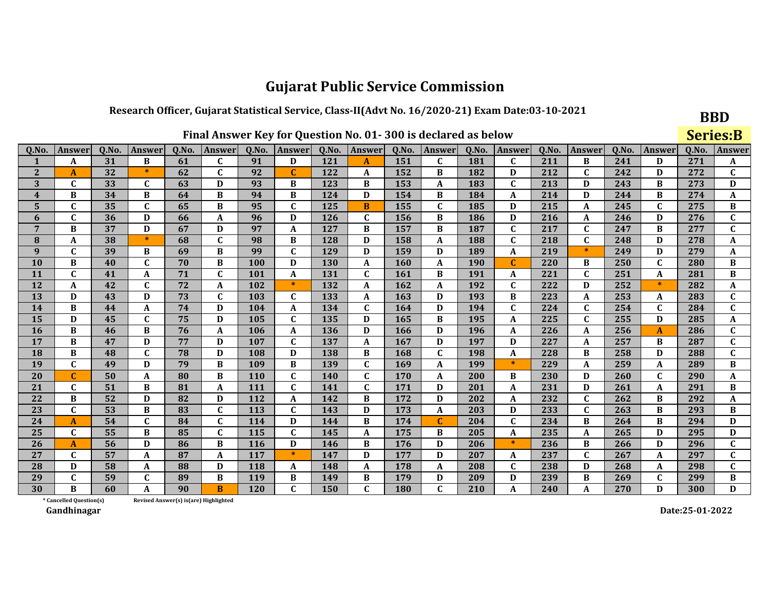#### Research Officer, Gujarat Statistical Service, Class-II(Advt No. 16/2020-21) Exam Date:03-10-2021

|                 |                                                                                                                                                                                                                                                                                |    |             |    |                                        |            |              |     | Final Answer Key for Question No. 01-300 is declared as below |     |              |     |              |     |              |               |              | <b>Series:B</b> |              |
|-----------------|--------------------------------------------------------------------------------------------------------------------------------------------------------------------------------------------------------------------------------------------------------------------------------|----|-------------|----|----------------------------------------|------------|--------------|-----|---------------------------------------------------------------|-----|--------------|-----|--------------|-----|--------------|---------------|--------------|-----------------|--------------|
| Q.No.           | Q.No.<br>Q.No.<br>Q.No.<br>Q.No.<br>Q.No.<br>Q.No.<br>Q.No.<br>Q.No.<br>Answer<br><b>Answer</b><br>Answer<br>Answer<br><b>Answer</b><br>Answer<br>Answer<br>Answer<br>$\mathbf C$<br>211<br>31<br>61<br>91<br>121<br>151<br>181<br>C<br>B<br>241<br>B<br>D<br>C<br>D<br>A<br>A |    |             |    |                                        |            |              |     |                                                               |     |              |     |              |     |              | <b>Answer</b> | Q.No.        | Answer          |              |
|                 |                                                                                                                                                                                                                                                                                |    |             |    |                                        |            |              |     |                                                               |     |              |     |              |     |              |               |              | 271             | A            |
| 2               | $\mathbf{A}$                                                                                                                                                                                                                                                                   | 32 | $\ast$      | 62 | $\mathbf C$                            | 92         | C            | 122 | A                                                             | 152 | B            | 182 | D            | 212 | $\mathbf C$  | 242           | D            | 272             | $\mathbf c$  |
| 3               | $\mathbf C$                                                                                                                                                                                                                                                                    | 33 | $\mathbf C$ | 63 | D                                      | 93         | B            | 123 | B                                                             | 153 | A            | 183 | $\mathbf C$  | 213 | D            | 243           | B            | 273             | D            |
| $\overline{4}$  | B                                                                                                                                                                                                                                                                              | 34 | B           | 64 | B                                      | 94         | B            | 124 | D                                                             | 154 | B            | 184 | $\mathbf A$  | 214 | D            | 244           | B            | 274             | A            |
| 5               | $\mathbf C$                                                                                                                                                                                                                                                                    | 35 | $\mathbf C$ | 65 | B                                      | 95         | $\mathbf C$  | 125 | B                                                             | 155 | $\mathbf{C}$ | 185 | D            | 215 | A            | 245           | $\mathbf C$  | 275             | B            |
| 6               | $\mathbf C$                                                                                                                                                                                                                                                                    | 36 | D           | 66 | A                                      | 96         | D            | 126 | $\mathbf C$                                                   | 156 | B            | 186 | D            | 216 | A            | 246           | D            | 276             | $\mathbf{C}$ |
| $7\phantom{.0}$ | B                                                                                                                                                                                                                                                                              | 37 | D           | 67 | D                                      | 97         | A            | 127 | B                                                             | 157 | B            | 187 | $\mathbf C$  | 217 | C            | 247           | B            | 277             | C            |
| 8               | A                                                                                                                                                                                                                                                                              | 38 | $\ast$      | 68 | $\mathbf C$                            | 98         | B            | 128 | D                                                             | 158 | A            | 188 | $\mathbf C$  | 218 | $\mathbf{C}$ | 248           | D            | 278             | A            |
| 9               | $\mathbf{C}$                                                                                                                                                                                                                                                                   | 39 | B           | 69 | $\bf{B}$                               | 99         | $\mathbf C$  | 129 | D                                                             | 159 | D            | 189 | $\mathbf A$  | 219 | $*$          | 249           | D            | 279             | A            |
| <b>10</b>       | B                                                                                                                                                                                                                                                                              | 40 | $\mathbf C$ | 70 | B                                      | 100        | D            | 130 | A                                                             | 160 | A            | 190 | $\mathbf C$  | 220 | B            | 250           | $\mathbf C$  | 280             | B            |
| 11              | $\mathbf C$                                                                                                                                                                                                                                                                    | 41 | A           | 71 | $\mathbf C$                            | <b>101</b> | A            | 131 | $\mathbf C$                                                   | 161 | B            | 191 | A            | 221 | C            | 251           | A            | 281             | B            |
| 12              | A                                                                                                                                                                                                                                                                              | 42 | $\mathbf C$ | 72 | $\boldsymbol{A}$                       | 102        | $\ast$       | 132 | A                                                             | 162 | A            | 192 | $\mathbf C$  | 222 | D            | 252           | $\ast$       | 282             | A            |
| 13              | D                                                                                                                                                                                                                                                                              | 43 | D           | 73 | $\mathbf C$                            | 103        | $\mathbf{C}$ | 133 | A                                                             | 163 | D            | 193 | B            | 223 | A            | 253           | A            | 283             | $\mathbf{C}$ |
| 14              | B                                                                                                                                                                                                                                                                              | 44 | A           | 74 | D                                      | 104        | A            | 134 | $\mathbf{C}$                                                  | 164 | D            | 194 | $\mathbf C$  | 224 | C            | 254           | $\mathbf C$  | 284             | $\mathbf C$  |
| 15              | D                                                                                                                                                                                                                                                                              | 45 | $\mathbf C$ | 75 | D                                      | 105        | $\mathbf C$  | 135 | D                                                             | 165 | B            | 195 | A            | 225 | $\mathbf C$  | 255           | D            | 285             | A            |
| <b>16</b>       | B                                                                                                                                                                                                                                                                              | 46 | B           | 76 | $\boldsymbol{A}$                       | 106        | A            | 136 | D                                                             | 166 | D            | 196 | $\mathbf{A}$ | 226 | A            | 256           | $\mathbf{A}$ | 286             | $\mathbf{C}$ |
| 17              | B                                                                                                                                                                                                                                                                              | 47 | D           | 77 | D                                      | 107        | $\mathbf{C}$ | 137 | $\boldsymbol{A}$                                              | 167 | D            | 197 | D            | 227 | A            | 257           | B            | 287             | $\mathbf{C}$ |
| <b>18</b>       | B                                                                                                                                                                                                                                                                              | 48 | $\mathbf C$ | 78 | D                                      | 108        | D            | 138 | B                                                             | 168 | $\mathbf{C}$ | 198 | $\mathbf{A}$ | 228 | B            | 258           | D            | 288             | $\mathbf{C}$ |
| 19              | $\mathbf C$                                                                                                                                                                                                                                                                    | 49 | D           | 79 | $\bf{B}$                               | 109        | B            | 139 | $\mathbf{C}$                                                  | 169 | A            | 199 | $\ast$       | 229 | A            | 259           | A            | 289             | B            |
| 20              | $\mathbf C$                                                                                                                                                                                                                                                                    | 50 | A           | 80 | B                                      | <b>110</b> | $\mathbf{C}$ | 140 | $\mathbf{C}$                                                  | 170 | A            | 200 | B            | 230 | D            | 260           | $\mathbf C$  | 290             | A            |
| 21              | $\mathbf C$                                                                                                                                                                                                                                                                    | 51 | B           | 81 | A                                      | <b>111</b> | C            | 141 | $\mathbf{C}$                                                  | 171 | D            | 201 | A            | 231 | D            | 261           | A            | 291             | B            |
| 22              | B                                                                                                                                                                                                                                                                              | 52 | D           | 82 | D                                      | 112        | A            | 142 | B                                                             | 172 | D            | 202 | A            | 232 | $\mathbf{C}$ | 262           | B            | 292             | A            |
| 23              | $\mathbf C$                                                                                                                                                                                                                                                                    | 53 | B           | 83 | $\mathbf C$                            | 113        | $\mathbf C$  | 143 | D                                                             | 173 | A            | 203 | D            | 233 | $\mathbf{C}$ | 263           | B            | 293             | B            |
| 24              | $\mathbf{A}$                                                                                                                                                                                                                                                                   | 54 | $\mathbf C$ | 84 | $\mathbf C$                            | 114        | D            | 144 | B                                                             | 174 | $\mathbf{C}$ | 204 | $\mathbf C$  | 234 | B            | 264           | B            | 294             | D            |
| 25              | $\mathbf C$                                                                                                                                                                                                                                                                    | 55 | B           | 85 | $\mathbf C$                            | 115        | $\mathbf C$  | 145 | A                                                             | 175 | B            | 205 | A            | 235 | A            | 265           | D            | 295             | D            |
| 26              | A                                                                                                                                                                                                                                                                              | 56 | D           | 86 | $\bf{B}$                               | <b>116</b> | D            | 146 | B                                                             | 176 | D            | 206 | $\ast$       | 236 | $\bf{B}$     | 266           | D            | 296             | $\mathbf{C}$ |
| 27              | $\mathbf{C}$                                                                                                                                                                                                                                                                   | 57 | A           | 87 | $\boldsymbol{A}$                       | 117        | $\ast$       | 147 | D                                                             | 177 | D            | 207 | A            | 237 | $\mathbf C$  | 267           | A            | 297             | $\mathbf{C}$ |
| 28              | D                                                                                                                                                                                                                                                                              | 58 | A           | 88 | D                                      | <b>118</b> | A            | 148 | A                                                             | 178 | A            | 208 | $\mathbf C$  | 238 | D            | 268           | A            | 298             | $\mathbf{C}$ |
| 29              | $\mathbf C$                                                                                                                                                                                                                                                                    | 59 | $\mathbf C$ | 89 | $\bf{B}$                               | 119        | B            | 149 | B                                                             | 179 | D            | 209 | D            | 239 | B            | 269           | $\mathbf C$  | 299             | B            |
| 30              | B                                                                                                                                                                                                                                                                              | 60 | A           | 90 | B                                      | <b>120</b> | $\mathbf C$  | 150 | $\mathbf{C}$                                                  | 180 | $\mathbf C$  | 210 | $\mathbf{A}$ | 240 | A            | 270           | D            | 300             | D            |
|                 | * Cancelled Question(s)                                                                                                                                                                                                                                                        |    |             |    | Revised Answer(s) is (are) Highlighted |            |              |     |                                                               |     |              |     |              |     |              |               |              |                 |              |

Revised Answer(s) is(are) Highlighted

Gandhinagar

Г

Date:25-01-2022

**BBD**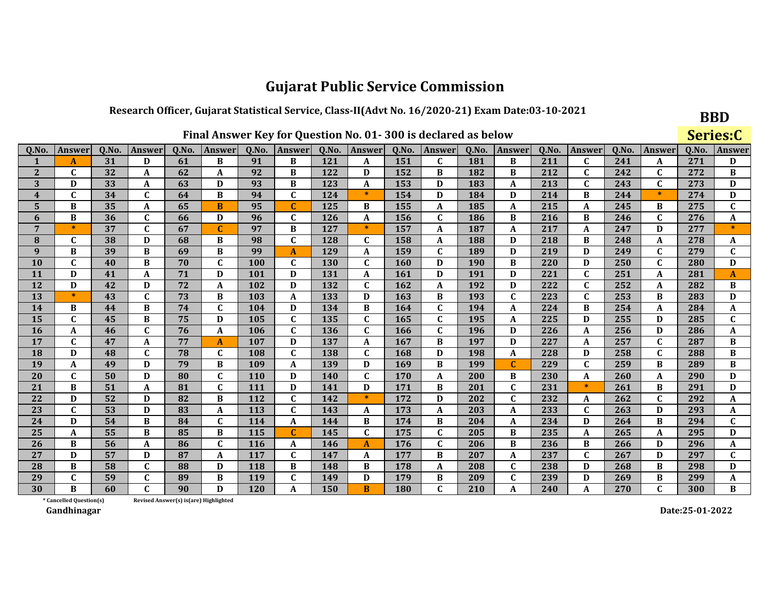### Research Officer, Gujarat Statistical Service, Class-II(Advt No. 16/2020-21) Exam Date:03-10-2021

|                         |                                                                                                                                                                    |    |              |                                       |              |            |              |            |              |     | Final Answer Key for Question No. 01-300 is declared as below |     |              |     |                  |        |              |        | Series:C     |
|-------------------------|--------------------------------------------------------------------------------------------------------------------------------------------------------------------|----|--------------|---------------------------------------|--------------|------------|--------------|------------|--------------|-----|---------------------------------------------------------------|-----|--------------|-----|------------------|--------|--------------|--------|--------------|
| Q.No.                   | Q.No.<br>Q.No.<br>Q.No.<br>Q.No.<br>Answer<br><b>Answer</b><br>Answer<br>Answer<br>Q.No.<br>Q.No.<br>Q.No.<br>Answer<br>Q.No.<br><b>Answer</b><br>Answer<br>Answer |    |              |                                       |              |            |              |            |              |     |                                                               |     |              |     |                  | Answer | Q.No.        | Answer |              |
| 1                       | A                                                                                                                                                                  | 31 | D            | 61                                    | B            | 91         | B            | 121        | A            | 151 | $\mathbf{C}$                                                  | 181 | B            | 211 | $\mathbf C$      | 241    | A            | 271    | D            |
| $\overline{2}$          | $\mathbf{C}$                                                                                                                                                       | 32 | A            | 62                                    | A            | 92         | B            | 122        | D            | 152 | B                                                             | 182 | B            | 212 | $\mathbf{C}$     | 242    | $\mathbf C$  | 272    | B            |
| 3                       | D                                                                                                                                                                  | 33 | A            | 63                                    | D            | 93         | B            | 123        | A            | 153 | D                                                             | 183 | A            | 213 | $\mathbf C$      | 243    | $\mathbf{C}$ | 273    | D            |
| $\overline{\mathbf{4}}$ | $\mathbf{C}$                                                                                                                                                       | 34 | $\mathbf{C}$ | 64                                    | B            | 94         | $\mathbf{C}$ | 124        | 米            | 154 | D                                                             | 184 | D            | 214 | B                | 244    | $\ast$       | 274    | D            |
| 5                       | B                                                                                                                                                                  | 35 | A            | 65                                    | B            | 95         | $\mathbf C$  | 125        | B            | 155 | A                                                             | 185 | A            | 215 | A                | 245    | B            | 275    | $\mathbf{C}$ |
| 6                       | B                                                                                                                                                                  | 36 | $\mathbf{C}$ | 66                                    | D            | 96         | $\mathbf{C}$ | 126        | A            | 156 | $\mathbf C$                                                   | 186 | B            | 216 | B                | 246    | C            | 276    | A            |
| 7                       | $\ast$                                                                                                                                                             | 37 | C            | 67                                    | $\mathbf C$  | 97         | B            | 127        | $\ast$       | 157 | A                                                             | 187 | A            | 217 | A                | 247    | D            | 277    | $\ast$       |
| 8                       | C                                                                                                                                                                  | 38 | D            | 68                                    | B            | 98         | $\mathbf{C}$ | 128        | C            | 158 | A                                                             | 188 | D            | 218 | В                | 248    | A            | 278    | A            |
| 9                       | B                                                                                                                                                                  | 39 | B            | 69                                    | B            | 99         | $\mathbf{A}$ | 129        | A            | 159 | $\mathbf C$                                                   | 189 | D            | 219 | D                | 249    | $\mathbf C$  | 279    | $\mathbf{C}$ |
| 10                      | $\mathbf{C}$                                                                                                                                                       | 40 | B            | 70                                    | $\mathbf{C}$ | 100        | $\mathbf C$  | <b>130</b> | $\mathbf C$  | 160 | D                                                             | 190 | B            | 220 | D                | 250    | $\mathbf{C}$ | 280    | D            |
| 11                      | D                                                                                                                                                                  | 41 | A            | 71                                    | D            | 101        | D            | 131        | A            | 161 | D                                                             | 191 | D            | 221 | $\mathbf C$      | 251    | A            | 281    | $\mathbf{A}$ |
| 12                      | D                                                                                                                                                                  | 42 | D            | 72                                    | A            | 102        | D            | 132        | $\mathbf{C}$ | 162 | A                                                             | 192 | D            | 222 | $\mathbf C$      | 252    | A            | 282    | B            |
| 13                      | $\ast$                                                                                                                                                             | 43 | $\mathbf{C}$ | 73                                    | B            | 103        | $\mathbf A$  | 133        | D            | 163 | B                                                             | 193 | $\mathbf{C}$ | 223 | $\mathbf C$      | 253    | B            | 283    | D            |
| 14                      | B                                                                                                                                                                  | 44 | B            | 74                                    | $\mathbf{C}$ | 104        | D            | 134        | B            | 164 | $\mathbf{C}$                                                  | 194 | A            | 224 | B                | 254    | A            | 284    | A            |
| 15                      | C                                                                                                                                                                  | 45 | B            | 75                                    | D            | 105        | $\mathbf C$  | 135        | $\mathbf C$  | 165 | $\mathbf{C}$                                                  | 195 | A            | 225 | D                | 255    | D            | 285    | C            |
| 16                      | A                                                                                                                                                                  | 46 | $\mathbf C$  | 76                                    | A            | 106        | $\mathbf C$  | 136        | $\mathbf C$  | 166 | $\mathbf{C}$                                                  | 196 | D            | 226 | A                | 256    | D            | 286    | A            |
| 17                      | $\mathbf C$                                                                                                                                                        | 47 | A            | 77                                    | $\mathbf{A}$ | 107        | D            | 137        | A            | 167 | B                                                             | 197 | D            | 227 | A                | 257    | C            | 287    | B            |
| 18                      | D                                                                                                                                                                  | 48 | $\mathbf C$  | 78                                    | $\mathbf C$  | 108        | $\mathbf C$  | 138        | $\mathbf C$  | 168 | D                                                             | 198 | A            | 228 | D                | 258    | $\mathbf C$  | 288    | B            |
| 19                      | A                                                                                                                                                                  | 49 | D            | 79                                    | B            | 109        | A            | 139        | D            | 169 | B                                                             | 199 | $\mathbf C$  | 229 | $\mathbf C$      | 259    | B            | 289    | $\, {\bf B}$ |
| 20                      | C                                                                                                                                                                  | 50 | D            | 80                                    | C            | <b>110</b> | D            | 140        | C            | 170 | A                                                             | 200 | B            | 230 | A                | 260    | A            | 290    | D            |
| 21                      | B                                                                                                                                                                  | 51 | A            | 81                                    | $\mathbf{C}$ | 111        | D            | 141        | D            | 171 | B                                                             | 201 | $\mathbf C$  | 231 | $\ast$           | 261    | B            | 291    | D            |
| 22                      | D                                                                                                                                                                  | 52 | D            | 82                                    | B            | 112        | $\mathbf C$  | 142        | $\ast$       | 172 | D                                                             | 202 | $\mathbf C$  | 232 | A                | 262    | $\mathbf C$  | 292    | A            |
| 23                      | $\mathbf C$                                                                                                                                                        | 53 | D            | 83                                    | A            | 113        | $\mathbf C$  | 143        | A            | 173 | A                                                             | 203 | A            | 233 | $\mathbf C$      | 263    | D            | 293    | A            |
| 24                      | D                                                                                                                                                                  | 54 | B            | 84                                    | C            | 114        | A            | 144        | B            | 174 | B                                                             | 204 | A            | 234 | D                | 264    | B            | 294    | $\mathbf{C}$ |
| 25                      | A                                                                                                                                                                  | 55 | $\bf{B}$     | 85                                    | B            | 115        | $\mathbf C$  | 145        | $\mathbf{C}$ | 175 | $\mathbf C$                                                   | 205 | B            | 235 | $\boldsymbol{A}$ | 265    | A            | 295    | $\mathbf D$  |
| 26                      | B                                                                                                                                                                  | 56 | A            | 86                                    | $\mathbf{C}$ | 116        | A            | 146        | $\mathbf{A}$ | 176 | $\mathbf C$                                                   | 206 | B            | 236 | B                | 266    | D            | 296    | A            |
| 27                      | D                                                                                                                                                                  | 57 | D            | 87                                    | A            | 117        | $\mathbf C$  | 147        | A            | 177 | B                                                             | 207 | A            | 237 | $\mathbf C$      | 267    | D            | 297    | $\mathbf{C}$ |
| 28                      | B                                                                                                                                                                  | 58 | $\mathbf C$  | 88                                    | D            | 118        | B            | 148        | B            | 178 | A                                                             | 208 | $\mathbf{C}$ | 238 | D                | 268    | B            | 298    | D            |
| 29                      | $\mathbf C$                                                                                                                                                        | 59 | $\mathbf C$  | 89                                    | B            | 119        | $\mathbf C$  | 149        | D            | 179 | B                                                             | 209 | $\mathbf C$  | 239 | D                | 269    | B            | 299    | A            |
| 30                      | R                                                                                                                                                                  | 60 | $\mathbf{C}$ | 90                                    | D            | 120        | A            | 150        | B            | 180 | $\mathbf C$                                                   | 210 | A            | 240 | A                | 270    | $\mathbf{C}$ | 300    | B            |
|                         | * Cancelled Question(s)                                                                                                                                            |    |              | Revised Answer(s) is(are) Highlighted |              |            |              |            |              |     |                                                               |     |              |     |                  |        |              |        |              |

Revised Answer(s) is(are) Highlighted

Gandhinagar

Date:25-01-2022

**BBD**  $\mathbf{C}$  and  $\mathbf{C}$